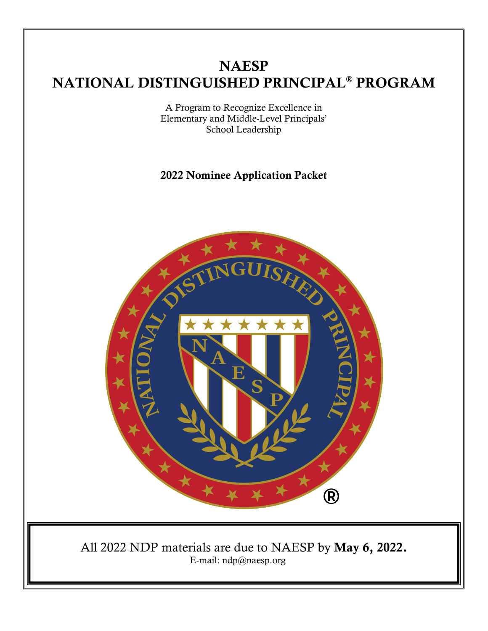# **NAESP** NATIONAL DISTINGUISHED PRINCIPAL® PROGRAM

A Program to Recognize Excellence in Elementary and Middle-Level Principals' School Leadership

# 2022 Nominee Application Packet

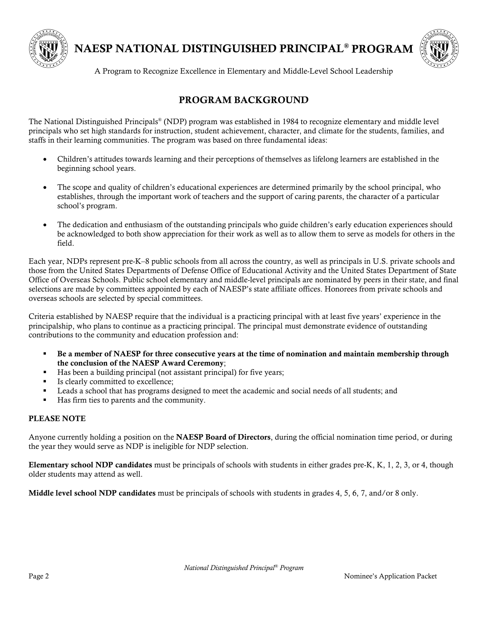

NAESP NATIONAL DISTINGUISHED PRINCIPAL® PROGRAM



A Program to Recognize Excellence in Elementary and Middle-Level School Leadership

## PROGRAM BACKGROUND

The National Distinguished Principals® (NDP) program was established in 1984 to recognize elementary and middle level principals who set high standards for instruction, student achievement, character, and climate for the students, families, and staffs in their learning communities. The program was based on three fundamental ideas:

- Children's attitudes towards learning and their perceptions of themselves as lifelong learners are established in the beginning school years.
- The scope and quality of children's educational experiences are determined primarily by the school principal, who establishes, through the important work of teachers and the support of caring parents, the character of a particular school's program.
- The dedication and enthusiasm of the outstanding principals who guide children's early education experiences should be acknowledged to both show appreciation for their work as well as to allow them to serve as models for others in the field.

Each year, NDPs represent pre-K–8 public schools from all across the country, as well as principals in U.S. private schools and those from the United States Departments of Defense Office of Educational Activity and the United States Department of State Office of Overseas Schools. Public school elementary and middle-level principals are nominated by peers in their state, and final selections are made by committees appointed by each of NAESP's state affiliate offices. Honorees from private schools and overseas schools are selected by special committees.

Criteria established by NAESP require that the individual is a practicing principal with at least five years' experience in the principalship, who plans to continue as a practicing principal. The principal must demonstrate evidence of outstanding contributions to the community and education profession and:

- Be a member of NAESP for three consecutive years at the time of nomination and maintain membership through the conclusion of the NAESP Award Ceremony;
- Has been a building principal (not assistant principal) for five years;
- Is clearly committed to excellence;
- Leads a school that has programs designed to meet the academic and social needs of all students; and
- Has firm ties to parents and the community.

#### PLEASE NOTE

Anyone currently holding a position on the NAESP Board of Directors, during the official nomination time period, or during the year they would serve as NDP is ineligible for NDP selection.

Elementary school NDP candidates must be principals of schools with students in either grades pre-K, K, 1, 2, 3, or 4, though older students may attend as well.

Middle level school NDP candidates must be principals of schools with students in grades 4, 5, 6, 7, and/or 8 only.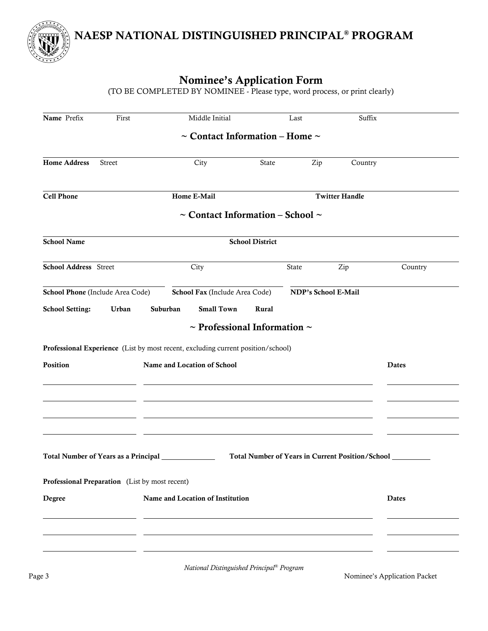NAESP NATIONAL DISTINGUISHED PRINCIPAL® PROGRAM

# Nominee's Application Form

(TO BE COMPLETED BY NOMINEE - Please type, word process, or print clearly)

| Name Prefix                  | First                                          | Middle Initial                                                                   |                        | Last                | Suffix                                           |              |
|------------------------------|------------------------------------------------|----------------------------------------------------------------------------------|------------------------|---------------------|--------------------------------------------------|--------------|
|                              |                                                | $\sim$ Contact Information – Home $\sim$                                         |                        |                     |                                                  |              |
| <b>Home Address</b>          | <b>Street</b>                                  | City                                                                             | State                  | Zip                 | Country                                          |              |
| <b>Cell Phone</b>            |                                                | Home E-Mail                                                                      |                        |                     | <b>Twitter Handle</b>                            |              |
|                              |                                                | $\sim$ Contact Information – School $\sim$                                       |                        |                     |                                                  |              |
| <b>School Name</b>           |                                                |                                                                                  | <b>School District</b> |                     |                                                  |              |
| <b>School Address</b> Street |                                                | City                                                                             |                        | State               | Zip                                              | Country      |
|                              | School Phone (Include Area Code)               | School Fax (Include Area Code)                                                   |                        | NDP's School E-Mail |                                                  |              |
| <b>School Setting:</b>       | Urban                                          | <b>Small Town</b><br>Suburban                                                    | Rural                  |                     |                                                  |              |
|                              |                                                | $\sim$ Professional Information $\sim$                                           |                        |                     |                                                  |              |
|                              |                                                | Professional Experience (List by most recent, excluding current position/school) |                        |                     |                                                  |              |
| Position                     |                                                | Name and Location of School                                                      |                        |                     |                                                  | <b>Dates</b> |
|                              |                                                |                                                                                  |                        |                     |                                                  |              |
|                              |                                                |                                                                                  |                        |                     |                                                  |              |
|                              |                                                |                                                                                  |                        |                     |                                                  |              |
|                              |                                                |                                                                                  |                        |                     |                                                  |              |
|                              | Total Number of Years as a Principal           |                                                                                  |                        |                     | Total Number of Years in Current Position/School |              |
|                              |                                                |                                                                                  |                        |                     |                                                  |              |
|                              | Professional Preparation (List by most recent) |                                                                                  |                        |                     |                                                  |              |
| Degree                       |                                                | Name and Location of Institution                                                 |                        |                     |                                                  | <b>Dates</b> |
|                              |                                                |                                                                                  |                        |                     |                                                  |              |
|                              |                                                |                                                                                  |                        |                     |                                                  |              |
|                              |                                                |                                                                                  |                        |                     |                                                  |              |

*National Distinguished Principal® Program*

Page 3 Nominee's Application Packet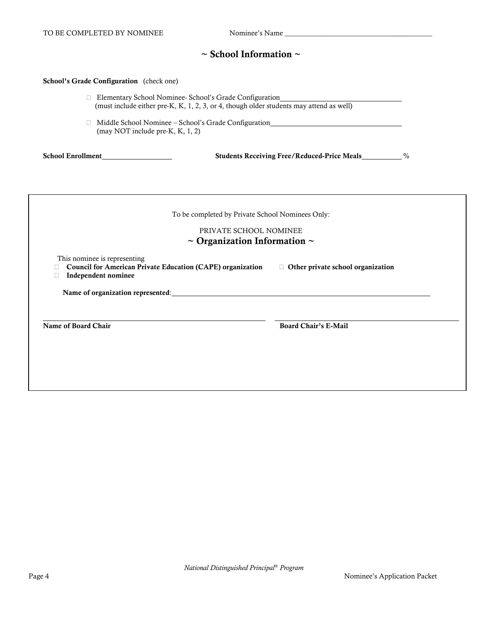#### $\sim$  School Information  $\sim$

#### School's Grade Configuration (check one)

| (must include either pre-K, K, 1, 2, 3, or 4, though older students may attend as well) |  |
|-----------------------------------------------------------------------------------------|--|
| Middle School Nominee – School's Grade Configuration                                    |  |

(may NOT include pre-K, K, 1, 2)

School Enrollment Students Receiving Free/Reduced-Price Meals %

| PRIVATE SCHOOL NOMINEE<br>$\sim$ Organization Information $\sim$                                                         |                                          |
|--------------------------------------------------------------------------------------------------------------------------|------------------------------------------|
| This nominee is representing<br><b>Council for American Private Education (CAPE) organization</b><br>Independent nominee | $\Box$ Other private school organization |
| Name of organization represented:                                                                                        |                                          |
| Name of Board Chair                                                                                                      | <b>Board Chair's E-Mail</b>              |
|                                                                                                                          |                                          |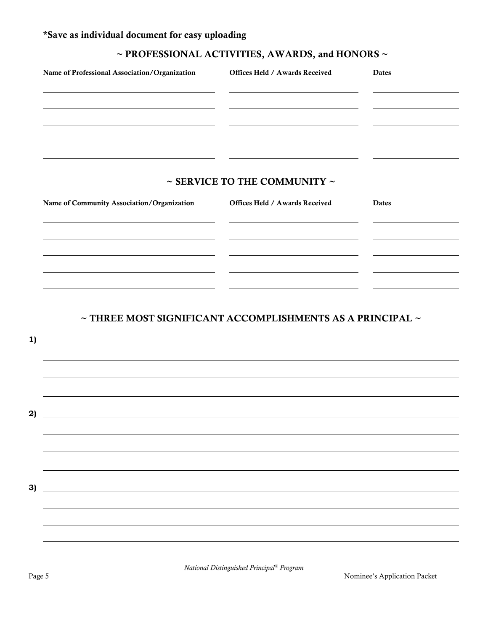# \*Save as individual document for easy uploading

# $\sim$  PROFESSIONAL ACTIVITIES, AWARDS, and HONORS  $\sim$

| Name of Professional Association/Organization                                                                                              | Offices Held / Awards Received         | Dates |
|--------------------------------------------------------------------------------------------------------------------------------------------|----------------------------------------|-------|
|                                                                                                                                            |                                        |       |
|                                                                                                                                            |                                        |       |
|                                                                                                                                            | $\sim$ SERVICE TO THE COMMUNITY $\sim$ |       |
| Name of Community Association/Organization                                                                                                 | Offices Held / Awards Received         | Dates |
|                                                                                                                                            |                                        |       |
|                                                                                                                                            |                                        |       |
|                                                                                                                                            |                                        |       |
| $\sim$ THREE MOST SIGNIFICANT ACCOMPLISHMENTS AS A PRINCIPAL $\sim$<br><u> 1980 - Johann Barn, fransk politik fotograf (d. 1980)</u><br>1) |                                        |       |
|                                                                                                                                            |                                        |       |
|                                                                                                                                            |                                        |       |
| <u> 1989 - Johann Barn, mars ar breithinn ar chwaraeth a bhaile ann an 1964.</u>                                                           |                                        |       |
|                                                                                                                                            |                                        |       |
| 3)<br><u> 1989 - Johann Barn, mars ann an t-Amhain Aonaichte ann an t-Aonaichte ann an t-Aonaichte ann an t-Aonaichte a</u>                |                                        |       |
|                                                                                                                                            |                                        |       |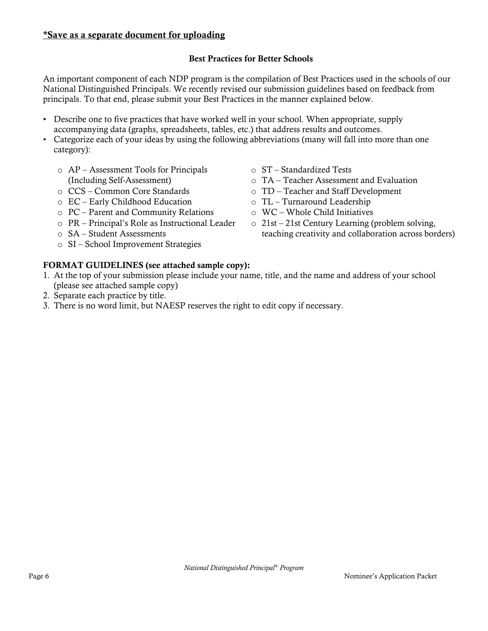## Best Practices for Better Schools

An important component of each NDP program is the compilation of Best Practices used in the schools of our National Distinguished Principals. We recently revised our submission guidelines based on feedback from principals. To that end, please submit your Best Practices in the manner explained below.

- Describe one to five practices that have worked well in your school. When appropriate, supply accompanying data (graphs, spreadsheets, tables, etc.) that address results and outcomes.
- Categorize each of your ideas by using the following abbreviations (many will fall into more than one category):
	- o AP Assessment Tools for Principals (Including Self-Assessment)
	- o CCS Common Core Standards
	- o EC Early Childhood Education
	- o PC Parent and Community Relations
	- o PR Principal's Role as Instructional Leader
	- o SA Student Assessments
	- o SI School Improvement Strategies

## FORMAT GUIDELINES (see attached sample copy):

- 1. At the top of your submission please include your name, title, and the name and address of your school (please see attached sample copy)
- 2. Separate each practice by title.
- 3. There is no word limit, but NAESP reserves the right to edit copy if necessary.
- o ST Standardized Tests
- o TA Teacher Assessment and Evaluation
- o TD Teacher and Staff Development
- o TL Turnaround Leadership
- o WC Whole Child Initiatives
- o 21st 21st Century Learning (problem solving, teaching creativity and collaboration across borders)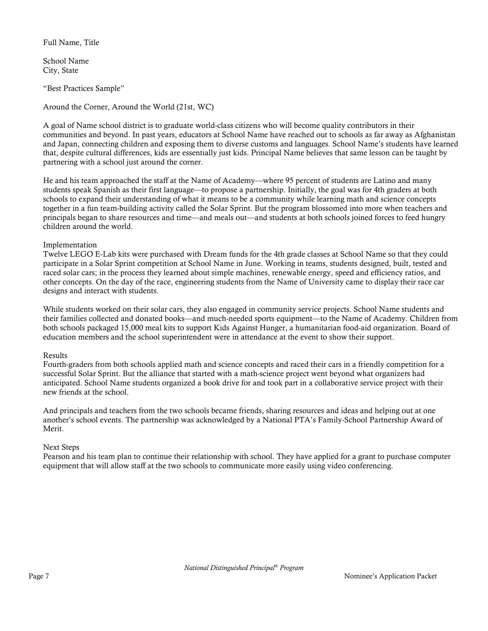Full Name, Title

School Name City, State

"Best Practices Sample"

Around the Corner, Around the World (21st, WC)

A goal of Name school district is to graduate world-class citizens who will become quality contributors in their communities and beyond. In past years, educators at School Name have reached out to schools as far away as Afghanistan and Japan, connecting children and exposing them to diverse customs and languages. School Name's students have learned that, despite cultural differences, kids are essentially just kids. Principal Name believes that same lesson can be taught by partnering with a school just around the corner.

He and his team approached the staff at the Name of Academy—where 95 percent of students are Latino and many students speak Spanish as their first language—to propose a partnership. Initially, the goal was for 4th graders at both schools to expand their understanding of what it means to be a community while learning math and science concepts together in a fun team-building activity called the Solar Sprint. But the program blossomed into more when teachers and principals began to share resources and time—and meals out—and students at both schools joined forces to feed hungry children around the world.

#### Implementation

Twelve LEGO E-Lab kits were purchased with Dream funds for the 4th grade classes at School Name so that they could participate in a Solar Sprint competition at School Name in June. Working in teams, students designed, built, tested and raced solar cars; in the process they learned about simple machines, renewable energy, speed and efficiency ratios, and other concepts. On the day of the race, engineering students from the Name of University came to display their race car designs and interact with students.

While students worked on their solar cars, they also engaged in community service projects. School Name students and their families collected and donated books—and much-needed sports equipment—to the Name of Academy. Children from both schools packaged 15,000 meal kits to support Kids Against Hunger, a humanitarian food-aid organization. Board of education members and the school superintendent were in attendance at the event to show their support.

#### Results

Fourth-graders from both schools applied math and science concepts and raced their cars in a friendly competition for a successful Solar Sprint. But the alliance that started with a math-science project went beyond what organizers had anticipated. School Name students organized a book drive for and took part in a collaborative service project with their new friends at the school.

And principals and teachers from the two schools became friends, sharing resources and ideas and helping out at one another's school events. The partnership was acknowledged by a National PTA's Family-School Partnership Award of Merit.

#### Next Steps

Pearson and his team plan to continue their relationship with school. They have applied for a grant to purchase computer equipment that will allow staff at the two schools to communicate more easily using video conferencing.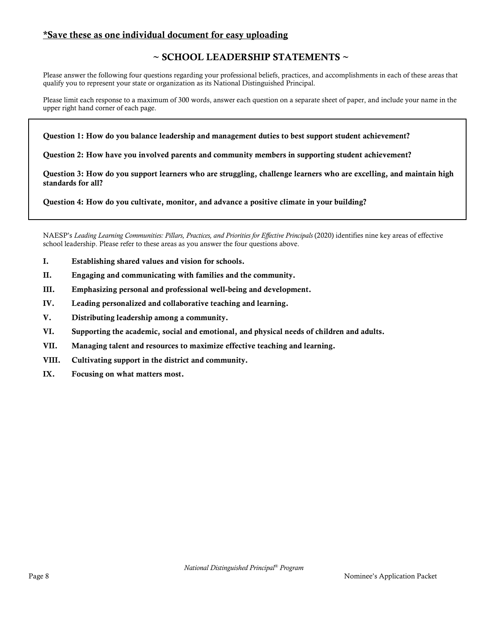### \*Save these as one individual document for easy uploading

## ~ SCHOOL LEADERSHIP STATEMENTS ~

Please answer the following four questions regarding your professional beliefs, practices, and accomplishments in each of these areas that qualify you to represent your state or organization as its National Distinguished Principal.

Please limit each response to a maximum of 300 words, answer each question on a separate sheet of paper, and include your name in the upper right hand corner of each page.

Question 1: How do you balance leadership and management duties to best support student achievement?

Question 2: How have you involved parents and community members in supporting student achievement?

Question 3: How do you support learners who are struggling, challenge learners who are excelling, and maintain high standards for all?

Question 4: How do you cultivate, monitor, and advance a positive climate in your building?

NAESP's *Leading Learning Communities: Pillars, Practices, and Priorities for Effective Principals* (2020) identifies nine key areas of effective school leadership. Please refer to these areas as you answer the four questions above.

- I. Establishing shared values and vision for schools.
- II. Engaging and communicating with families and the community.
- III. Emphasizing personal and professional well-being and development.
- IV. Leading personalized and collaborative teaching and learning.
- V. Distributing leadership among a community.
- VI. Supporting the academic, social and emotional, and physical needs of children and adults.
- VII. Managing talent and resources to maximize effective teaching and learning.
- VIII. Cultivating support in the district and community.
- IX. Focusing on what matters most.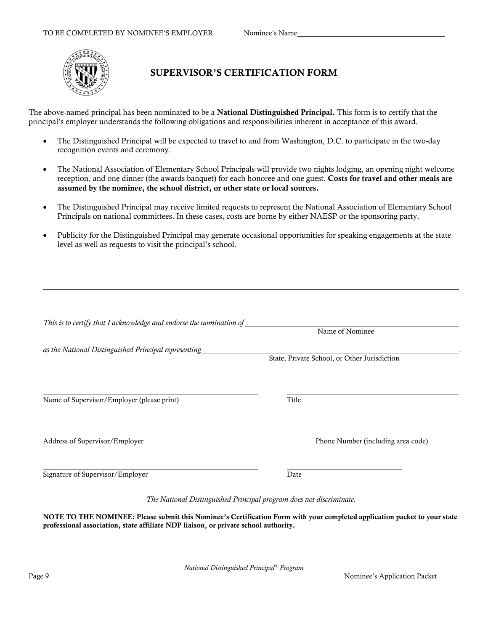

## SUPERVISOR'S CERTIFICATION FORM

The above-named principal has been nominated to be a **National Distinguished Principal.** This form is to certify that the principal's employer understands the following obligations and responsibilities inherent in acceptance of this award.

- The Distinguished Principal will be expected to travel to and from Washington, D.C. to participate in the two-day recognition events and ceremony.
- The National Association of Elementary School Principals will provide two nights lodging, an opening night welcome reception, and one dinner (the awards banquet) for each honoree and one guest. Costs for travel and other meals are assumed by the nominee, the school district, or other state or local sources.
- The Distinguished Principal may receive limited requests to represent the National Association of Elementary School Principals on national committees. In these cases, costs are borne by either NAESP or the sponsoring party.
- Publicity for the Distinguished Principal may generate occasional opportunities for speaking engagements at the state level as well as requests to visit the principal's school.

|                                                      | Name of Nominee                              |
|------------------------------------------------------|----------------------------------------------|
| as the National Distinguished Principal representing |                                              |
|                                                      | State, Private School, or Other Jurisdiction |
|                                                      |                                              |
| Name of Supervisor/Employer (please print)           | Title                                        |
| Address of Supervisor/Employer                       | Phone Number (including area code)           |
|                                                      |                                              |
| Signature of Supervisor/Employer                     | Date                                         |

*The National Distinguished Principal program does not discriminate.*

NOTE TO THE NOMINEE: Please submit this Nominee's Certification Form with your completed application packet to your state professional association, state affiliate NDP liaison, or private school authority.

*National Distinguished Principal® Program*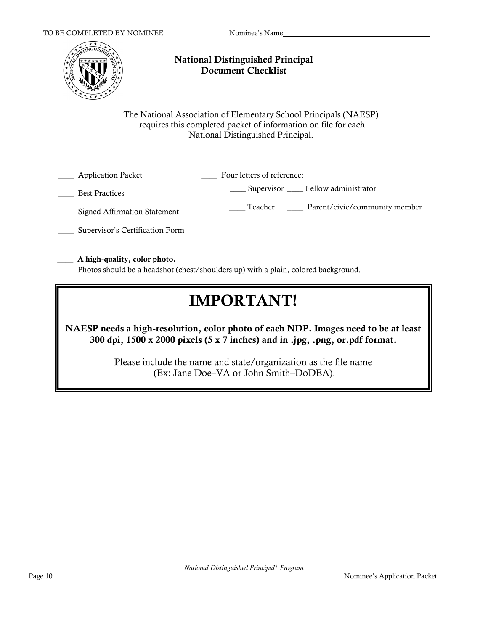

## National Distinguished Principal Document Checklist

The National Association of Elementary School Principals (NAESP) requires this completed packet of information on file for each National Distinguished Principal.

| <b>Application Packet</b>    | Four letters of reference:               |
|------------------------------|------------------------------------------|
| <b>Best Practices</b>        | Supervisor Fellow administrator          |
| Signed Affirmation Statement | Parent/civic/community member<br>Teacher |

\_\_\_\_ Supervisor's Certification Form

#### \_\_\_\_ A high-quality, color photo.

Photos should be a headshot (chest/shoulders up) with a plain, colored background.

# IMPORTANT!

NAESP needs a high-resolution, color photo of each NDP. Images need to be at least 300 dpi,  $1500 \times 2000$  pixels (5 x 7 inches) and in .jpg, .png, or.pdf format.

> Please include the name and state/organization as the file name (Ex: Jane Doe–VA or John Smith–DoDEA).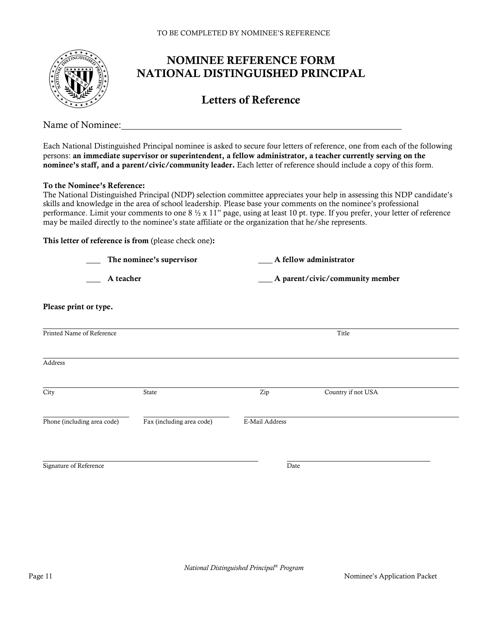

# NOMINEE REFERENCE FORM NATIONAL DISTINGUISHED PRINCIPAL

# Letters of Reference

Name of Nominee:

Each National Distinguished Principal nominee is asked to secure four letters of reference, one from each of the following persons: an immediate supervisor or superintendent, a fellow administrator, a teacher currently serving on the nominee's staff, and a parent/civic/community leader. Each letter of reference should include a copy of this form.

#### To the Nominee's Reference:

The National Distinguished Principal (NDP) selection committee appreciates your help in assessing this NDP candidate's skills and knowledge in the area of school leadership. Please base your comments on the nominee's professional performance. Limit your comments to one 8 ½ x 11" page, using at least 10 pt. type. If you prefer, your letter of reference may be mailed directly to the nominee's state affiliate or the organization that he/she represents.

#### This letter of reference is from (please check one):

|                             | The nominee's supervisor  | A fellow administrator |                                  |  |
|-----------------------------|---------------------------|------------------------|----------------------------------|--|
| A teacher                   |                           |                        | _A parent/civic/community member |  |
| Please print or type.       |                           |                        |                                  |  |
| Printed Name of Reference   |                           |                        | Title                            |  |
| Address                     |                           |                        |                                  |  |
| City                        | State                     | Zip                    | Country if not USA               |  |
| Phone (including area code) | Fax (including area code) | E-Mail Address         |                                  |  |
| Signature of Reference      |                           | Date                   |                                  |  |